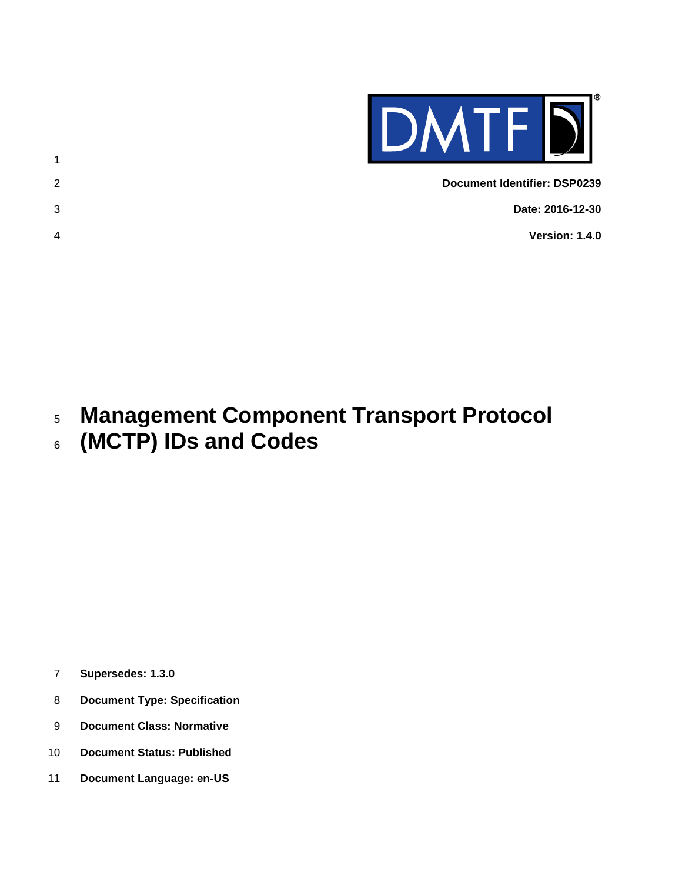

| <b>Document Identifier: DSP0239</b> | 2              |
|-------------------------------------|----------------|
| Date: 2016-12-30                    | 3              |
| Version: 1.4.0                      | $\overline{4}$ |
|                                     |                |

# **Management Component Transport Protocol (MCTP) IDs and Codes**

**Supersedes: 1.3.0**

- **Document Type: Specification**
- **Document Class: Normative**
- **Document Status: Published**
- **Document Language: en-US**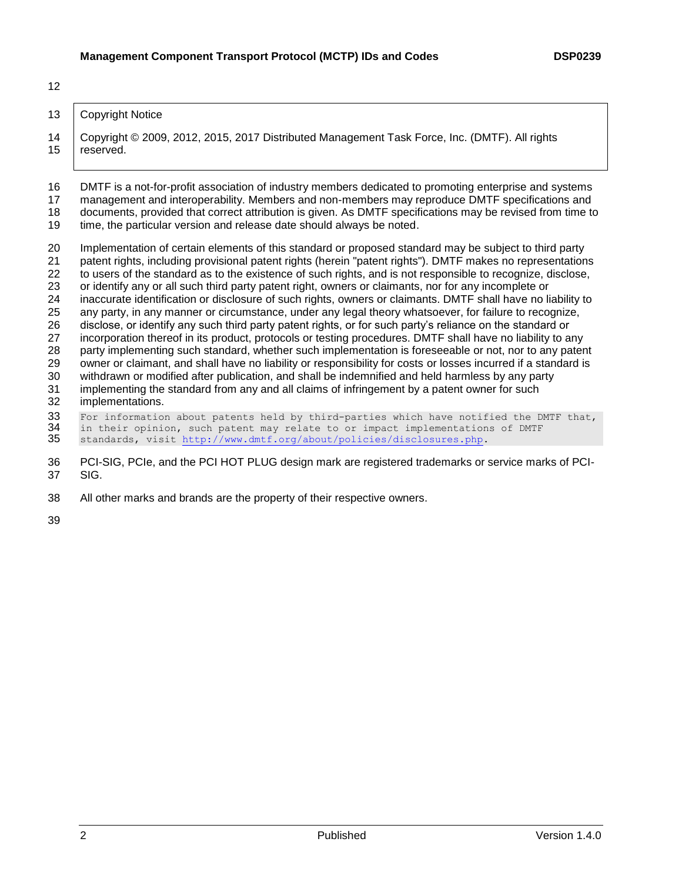| 13 | <b>Copyright Notice</b>                                                                                        |
|----|----------------------------------------------------------------------------------------------------------------|
| 14 | Copyright © 2009, 2012, 2015, 2017 Distributed Management Task Force, Inc. (DMTF). All rights                  |
| 15 | reserved.                                                                                                      |
| 16 | DMTF is a not-for-profit association of industry members dedicated to promoting enterprise and systems         |
| 17 | management and interoperability. Members and non-members may reproduce DMTF specifications and                 |
| 18 | documents, provided that correct attribution is given. As DMTF specifications may be revised from time to      |
| 19 | time, the particular version and release date should always be noted.                                          |
| 20 | Implementation of certain elements of this standard or proposed standard may be subject to third party         |
| 21 | patent rights, including provisional patent rights (herein "patent rights"). DMTF makes no representations     |
| 22 | to users of the standard as to the existence of such rights, and is not responsible to recognize, disclose,    |
| 23 | or identify any or all such third party patent right, owners or claimants, nor for any incomplete or           |
| 24 | inaccurate identification or disclosure of such rights, owners or claimants. DMTF shall have no liability to   |
| 25 | any party, in any manner or circumstance, under any legal theory whatsoever, for failure to recognize,         |
| 26 | disclose, or identify any such third party patent rights, or for such party's reliance on the standard or      |
| 27 | incorporation thereof in its product, protocols or testing procedures. DMTF shall have no liability to any     |
| 28 | party implementing such standard, whether such implementation is foreseeable or not, nor to any patent         |
| 29 | owner or claimant, and shall have no liability or responsibility for costs or losses incurred if a standard is |
| 30 | withdrawn or modified after publication, and shall be indemnified and held harmless by any party               |
| 31 | implementing the standard from any and all claims of infringement by a patent owner for such                   |
| 32 | implementations.                                                                                               |
| 33 | For information about patents held by third-parties which have notified the DMTF that,                         |
| 34 | in their opinion, such patent may relate to or impact implementations of DMTF                                  |
| 35 | standards, visit http://www.dmtf.org/about/policies/disclosures.php.                                           |
| 36 | PCI-SIG, PCIe, and the PCI HOT PLUG design mark are registered trademarks or service marks of PCI-             |
| 37 | SIG.                                                                                                           |

- All other marks and brands are the property of their respective owners.
-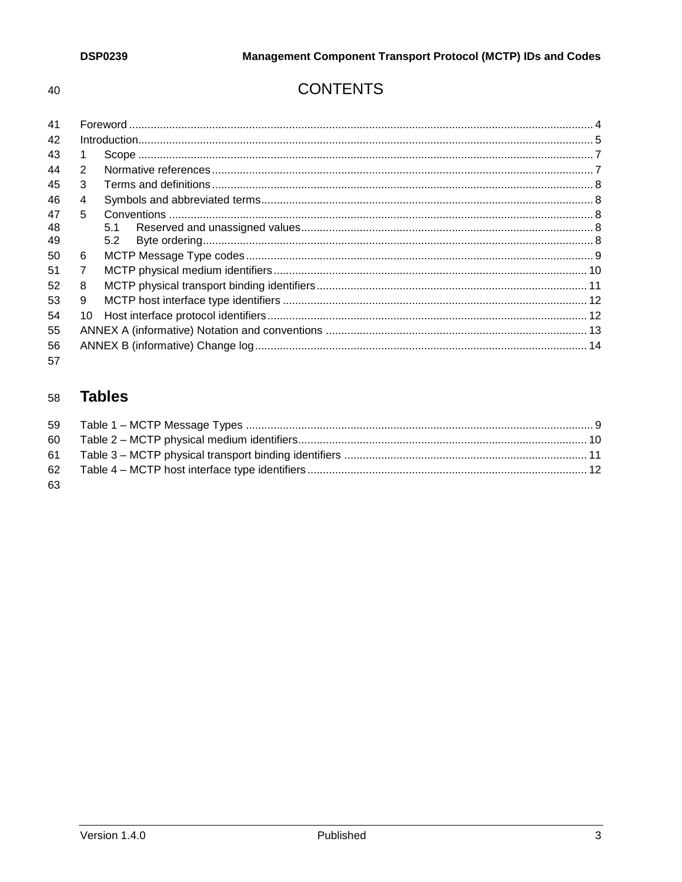40

# **CONTENTS**

| 41 |               |     |  |
|----|---------------|-----|--|
| 42 |               |     |  |
| 43 |               |     |  |
| 44 | $\mathcal{P}$ |     |  |
| 45 | 3             |     |  |
| 46 | 4             |     |  |
| 47 | 5             |     |  |
| 48 |               |     |  |
| 49 |               | 5.2 |  |
| 50 | 6             |     |  |
| 51 | 7             |     |  |
| 52 | 8             |     |  |
| 53 | 9             |     |  |
| 54 | 10            |     |  |
| 55 |               |     |  |
| 56 |               |     |  |
| 57 |               |     |  |

#### **Tables** 58

| 63 |  |
|----|--|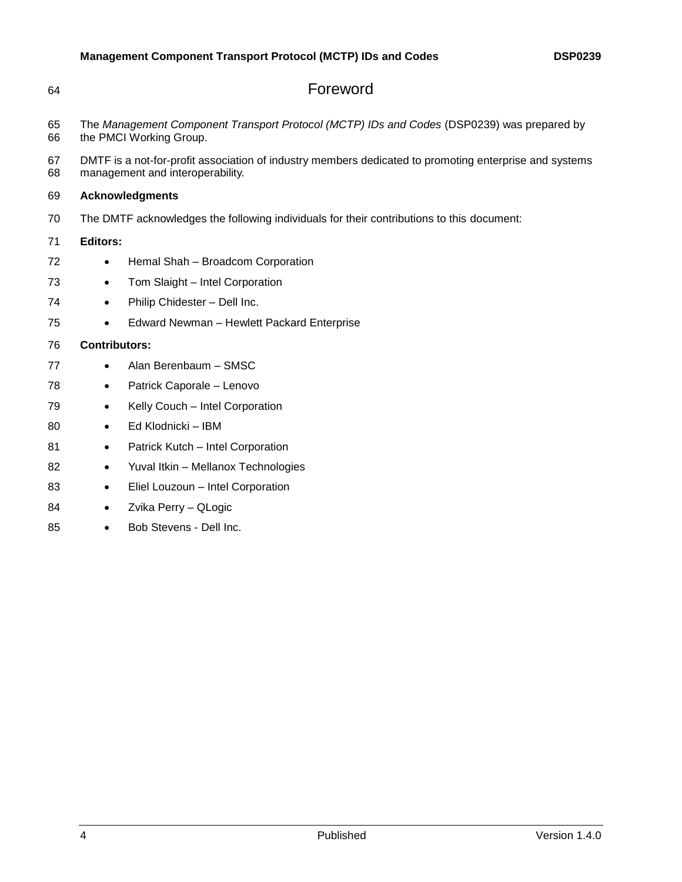## <span id="page-3-0"></span>64 Foreword

- 65 The *Management Component Transport Protocol (MCTP) IDs and Codes* (DSP0239) was prepared by 66 the PMCI Working Group.
- 67 DMTF is a not-for-profit association of industry members dedicated to promoting enterprise and systems 68 management and interoperability.

#### 69 **Acknowledgments**

70 The DMTF acknowledges the following individuals for their contributions to this document:

#### 71 **Editors:**

- 72 Hemal Shah Broadcom Corporation
- 73 Tom Slaight Intel Corporation
- 74 Philip Chidester Dell Inc.
- 75 Edward Newman Hewlett Packard Enterprise

#### 76 **Contributors:**

- 77 · Alan Berenbaum SMSC
- 78 · Patrick Caporale Lenovo
- 79 Kelly Couch Intel Corporation
- 80 · Ed Klodnicki IBM
- 81 Patrick Kutch Intel Corporation
- 82 Yuval Itkin Mellanox Technologies
- 83 **•** Eliel Louzoun Intel Corporation
- 84 Zvika Perry QLogic
- 85 · Bob Stevens Dell Inc.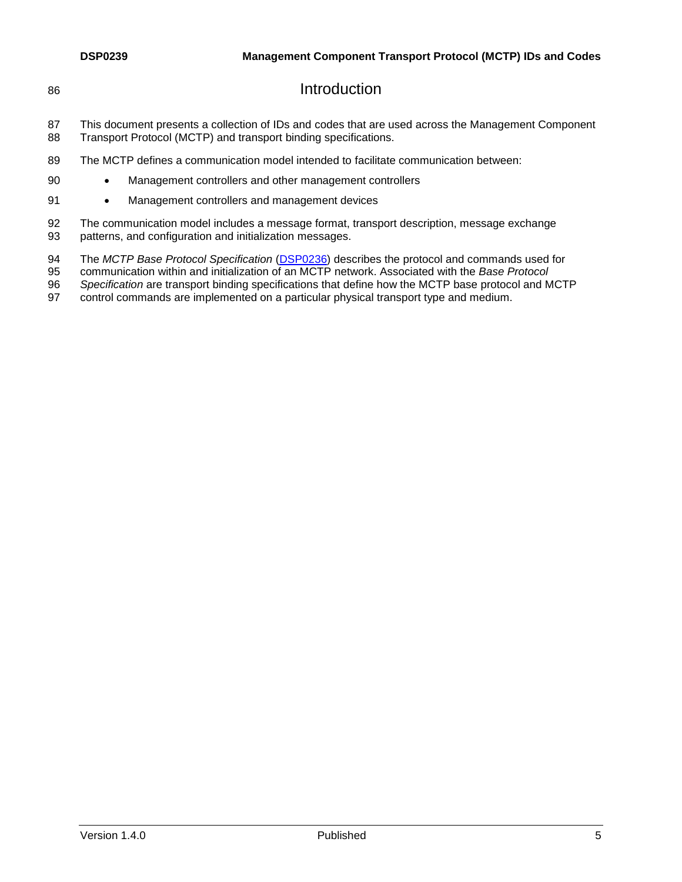## <span id="page-4-0"></span>Introduction

- This document presents a collection of IDs and codes that are used across the Management Component
- 88 Transport Protocol (MCTP) and transport binding specifications.
- The MCTP defines a communication model intended to facilitate communication between:
- 90 Management controllers and other management controllers
- 91 Management controllers and management devices
- The communication model includes a message format, transport description, message exchange patterns, and configuration and initialization messages.
- The *MCTP Base Protocol Specification* [\(DSP0236\)](#page-6-2) describes the protocol and commands used for
- communication within and initialization of an MCTP network. Associated with the *Base Protocol*
- *Specification* are transport binding specifications that define how the MCTP base protocol and MCTP
- control commands are implemented on a particular physical transport type and medium.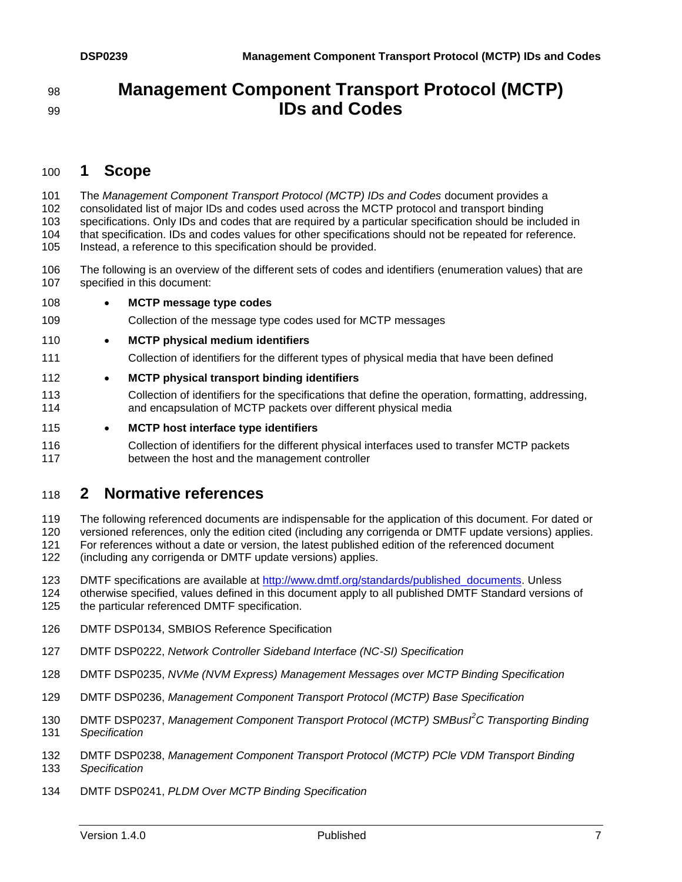- 
- 

# **Management Component Transport Protocol (MCTP) IDs and Codes**

## <span id="page-6-0"></span>**1 Scope**

The *Management Component Transport Protocol (MCTP) IDs and Codes* document provides a

 consolidated list of major IDs and codes used across the MCTP protocol and transport binding specifications. Only IDs and codes that are required by a particular specification should be included in

that specification. IDs and codes values for other specifications should not be repeated for reference.

Instead, a reference to this specification should be provided.

- The following is an overview of the different sets of codes and identifiers (enumeration values) that are specified in this document:
- **MCTP message type codes**
- Collection of the message type codes used for MCTP messages
- **MCTP physical medium identifiers**
- Collection of identifiers for the different types of physical media that have been defined
- **MCTP physical transport binding identifiers**
- Collection of identifiers for the specifications that define the operation, formatting, addressing, and encapsulation of MCTP packets over different physical media
- **MCTP host interface type identifiers**
- Collection of identifiers for the different physical interfaces used to transfer MCTP packets between the host and the management controller

## <span id="page-6-1"></span>**2 Normative references**

 The following referenced documents are indispensable for the application of this document. For dated or versioned references, only the edition cited (including any corrigenda or DMTF update versions) applies. For references without a date or version, the latest published edition of the referenced document (including any corrigenda or DMTF update versions) applies.

- DMTF specifications are available at [http://www.dmtf.org/standards/published\\_documents.](http://www.dmtf.org/standards/published_documents) Unless
- otherwise specified, values defined in this document apply to all published DMTF Standard versions of the particular referenced DMTF specification.
- <span id="page-6-8"></span>DMTF DSP0134, SMBIOS Reference Specification
- <span id="page-6-5"></span>DMTF DSP0222, *Network Controller Sideband Interface (NC-SI) Specification*
- <span id="page-6-4"></span>DMTF DSP0235, *NVMe (NVM Express) Management Messages over MCTP Binding Specification*
- <span id="page-6-2"></span>DMTF DSP0236, *Management Component Transport Protocol (MCTP) Base Specification*
- <span id="page-6-6"></span>DMTF DSP0237, *Management Component Transport Protocol (MCTP) SMBusI<sup>2</sup> C Transporting Binding Specification*
- <span id="page-6-7"></span> DMTF DSP0238, *Management Component Transport Protocol (MCTP) PCle VDM Transport Binding Specification*
- <span id="page-6-3"></span>DMTF DSP0241, *PLDM Over MCTP Binding Specification*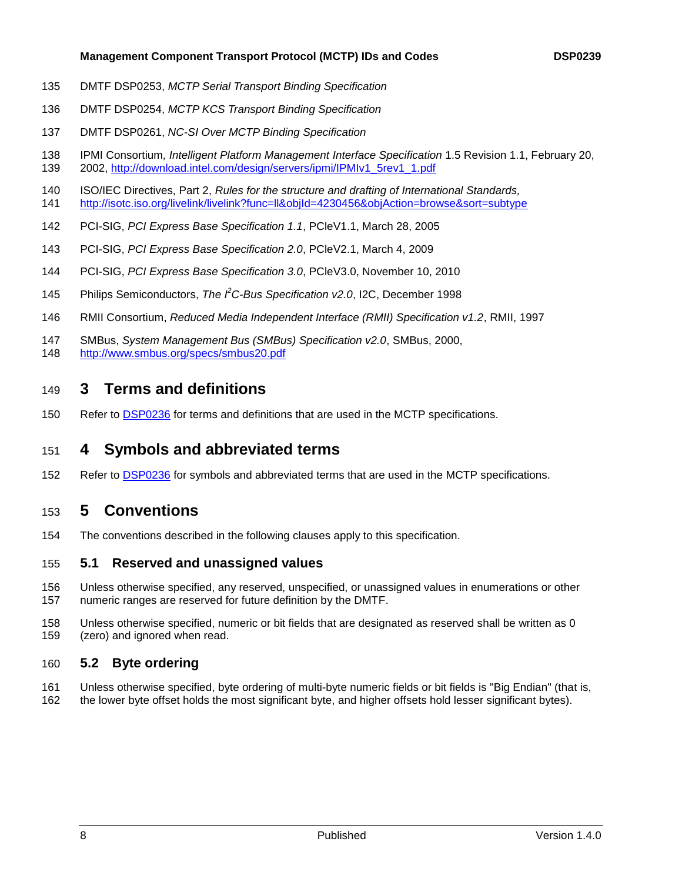#### <span id="page-7-8"></span><span id="page-7-7"></span><span id="page-7-6"></span>**Management Component Transport Protocol (MCTP) IDs and Codes DSP0239**

- DMTF DSP0253, *MCTP Serial Transport Binding Specification*
- DMTF DSP0254, *MCTP KCS Transport Binding Specification*
- <span id="page-7-5"></span>DMTF DSP0261, *NC-SI Over MCTP Binding Specification*
- IPMI Consortium*, Intelligent Platform Management Interface Specification* 1.5 Revision 1.1, February 20, 2002, [http://download.intel.com/design/servers/ipmi/IPMIv1\\_5rev1\\_1.pdf](http://download.intel.com/design/servers/ipmi/IPMIv1_5rev1_1.pdf)
- ISO/IEC Directives, Part 2, *Rules for the structure and drafting of International Standards,*  <http://isotc.iso.org/livelink/livelink?func=ll&objId=4230456&objAction=browse&sort=subtype>
- PCI-SIG, *PCI Express Base Specification 1.1*, PCleV1.1, March 28, 2005
- PCI-SIG, *PCI Express Base Specification 2.0*, PCleV2.1, March 4, 2009
- PCI-SIG, *PCI Express Base Specification 3.0*, PCleV3.0, November 10, 2010
- 145 Philips Semiconductors, *The <sup>P</sup>C-Bus Specification v2.0*, I2C, December 1998
- RMII Consortium, *Reduced Media Independent Interface (RMII) Specification v1.2*, RMII, 1997
- SMBus, *System Management Bus (SMBus) Specification v2.0*, SMBus, 2000,
- <span id="page-7-0"></span><http://www.smbus.org/specs/smbus20.pdf>

## **3 Terms and definitions**

<span id="page-7-1"></span>Refer to [DSP0236](#page-6-2) for terms and definitions that are used in the MCTP specifications.

## **4 Symbols and abbreviated terms**

<span id="page-7-2"></span>Refer to [DSP0236](#page-6-2) for symbols and abbreviated terms that are used in the MCTP specifications.

## **5 Conventions**

<span id="page-7-3"></span>The conventions described in the following clauses apply to this specification.

## **5.1 Reserved and unassigned values**

- Unless otherwise specified, any reserved, unspecified, or unassigned values in enumerations or other numeric ranges are reserved for future definition by the DMTF.
- Unless otherwise specified, numeric or bit fields that are designated as reserved shall be written as 0 (zero) and ignored when read.

## <span id="page-7-4"></span>**5.2 Byte ordering**

 Unless otherwise specified, byte ordering of multi-byte numeric fields or bit fields is "Big Endian" (that is, the lower byte offset holds the most significant byte, and higher offsets hold lesser significant bytes).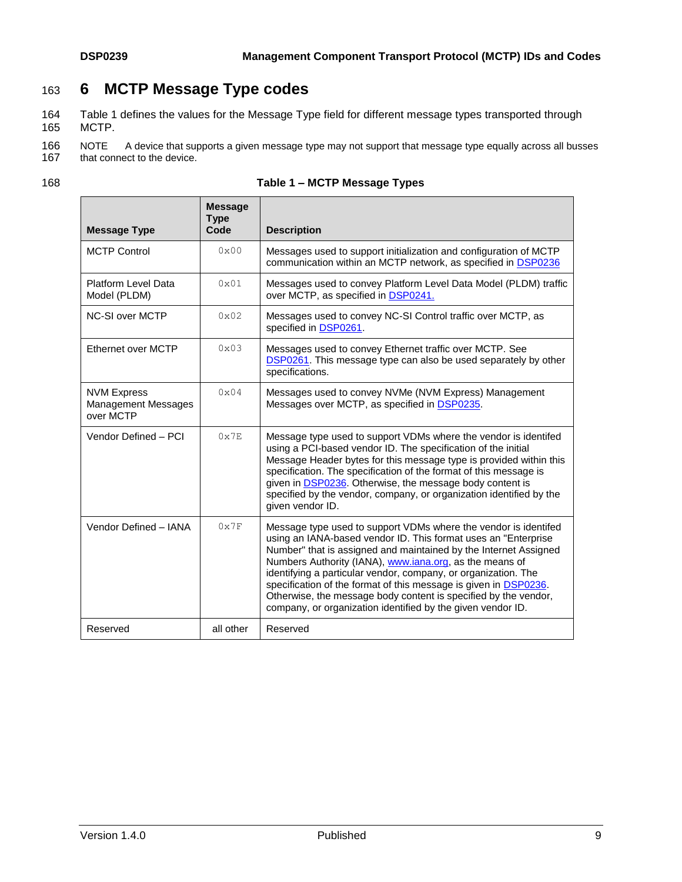# <span id="page-8-0"></span>163 **6 MCTP Message Type codes**

164 [Table 1](#page-8-1) defines the values for the Message Type field for different message types transported through 165 MCTP.

166 NOTE A device that supports a given message type may not support that message type equally across all busses<br>167 that connect to the device. that connect to the device.

| 168 | Table 1 - MCTP Message Types |
|-----|------------------------------|
|-----|------------------------------|

<span id="page-8-1"></span>

| <b>Message Type</b>                                           | <b>Message</b><br><b>Type</b><br>Code | <b>Description</b>                                                                                                                                                                                                                                                                                                                                                                                                                                                                                                                               |
|---------------------------------------------------------------|---------------------------------------|--------------------------------------------------------------------------------------------------------------------------------------------------------------------------------------------------------------------------------------------------------------------------------------------------------------------------------------------------------------------------------------------------------------------------------------------------------------------------------------------------------------------------------------------------|
| <b>MCTP Control</b>                                           | $0 \times 00$                         | Messages used to support initialization and configuration of MCTP<br>communication within an MCTP network, as specified in DSP0236                                                                                                                                                                                                                                                                                                                                                                                                               |
| Platform Level Data<br>Model (PLDM)                           | 0x01                                  | Messages used to convey Platform Level Data Model (PLDM) traffic<br>over MCTP, as specified in DSP0241.                                                                                                                                                                                                                                                                                                                                                                                                                                          |
| <b>NC-SLover MCTP</b>                                         | $0 \times 02$                         | Messages used to convey NC-SI Control traffic over MCTP, as<br>specified in DSP0261.                                                                                                                                                                                                                                                                                                                                                                                                                                                             |
| Ethernet over MCTP                                            | 0x03                                  | Messages used to convey Ethernet traffic over MCTP. See<br>DSP0261. This message type can also be used separately by other<br>specifications.                                                                                                                                                                                                                                                                                                                                                                                                    |
| <b>NVM Express</b><br><b>Management Messages</b><br>over MCTP | $0 \times 04$                         | Messages used to convey NVMe (NVM Express) Management<br>Messages over MCTP, as specified in DSP0235.                                                                                                                                                                                                                                                                                                                                                                                                                                            |
| Vendor Defined - PCI                                          | $0 \times 7E$                         | Message type used to support VDMs where the vendor is identifed<br>using a PCI-based vendor ID. The specification of the initial<br>Message Header bytes for this message type is provided within this<br>specification. The specification of the format of this message is<br>given in DSP0236. Otherwise, the message body content is<br>specified by the vendor, company, or organization identified by the<br>given vendor ID.                                                                                                               |
| Vendor Defined - IANA                                         | $0 \times 7F$                         | Message type used to support VDMs where the vendor is identifed<br>using an IANA-based vendor ID. This format uses an "Enterprise<br>Number" that is assigned and maintained by the Internet Assigned<br>Numbers Authority (IANA), www.iana.org, as the means of<br>identifying a particular vendor, company, or organization. The<br>specification of the format of this message is given in <b>DSP0236</b> .<br>Otherwise, the message body content is specified by the vendor,<br>company, or organization identified by the given vendor ID. |
| Reserved                                                      | all other                             | Reserved                                                                                                                                                                                                                                                                                                                                                                                                                                                                                                                                         |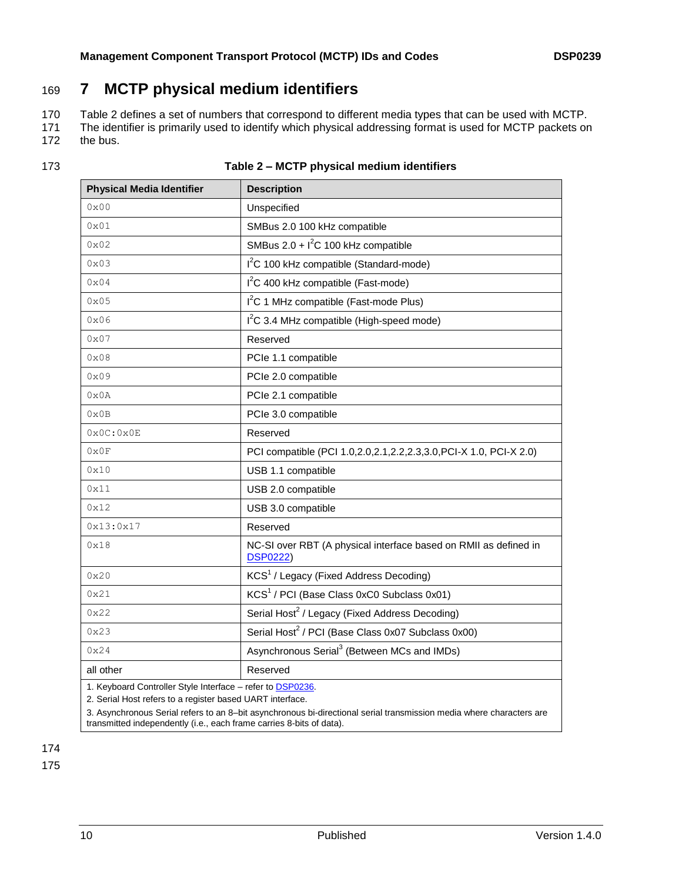# <span id="page-9-0"></span>169 **7 MCTP physical medium identifiers**

170 [Table 2](#page-9-1) defines a set of numbers that correspond to different media types that can be used with MCTP.

171 The identifier is primarily used to identify which physical addressing format is used for MCTP packets on 172 the bus.

### 173 **Table 2 – MCTP physical medium identifiers**

<span id="page-9-1"></span>

| <b>Physical Media Identifier</b>                                                                                                                                                                                     | <b>Description</b>                                                                  |
|----------------------------------------------------------------------------------------------------------------------------------------------------------------------------------------------------------------------|-------------------------------------------------------------------------------------|
| 0x00                                                                                                                                                                                                                 | Unspecified                                                                         |
| 0x01                                                                                                                                                                                                                 | SMBus 2.0 100 kHz compatible                                                        |
| 0x02                                                                                                                                                                                                                 | SMBus $2.0 + I^2C$ 100 kHz compatible                                               |
| 0x03                                                                                                                                                                                                                 | I <sup>2</sup> C 100 kHz compatible (Standard-mode)                                 |
| $0 \times 04$                                                                                                                                                                                                        | I <sup>2</sup> C 400 kHz compatible (Fast-mode)                                     |
| 0x05                                                                                                                                                                                                                 | I <sup>2</sup> C 1 MHz compatible (Fast-mode Plus)                                  |
| 0x06                                                                                                                                                                                                                 | I <sup>2</sup> C 3.4 MHz compatible (High-speed mode)                               |
| 0x07                                                                                                                                                                                                                 | Reserved                                                                            |
| 0x08                                                                                                                                                                                                                 | PCIe 1.1 compatible                                                                 |
| 0x09                                                                                                                                                                                                                 | PCIe 2.0 compatible                                                                 |
| 0x0A                                                                                                                                                                                                                 | PCIe 2.1 compatible                                                                 |
| $0\times 0B$                                                                                                                                                                                                         | PCIe 3.0 compatible                                                                 |
| $0 \times 0 C$ : $0 \times 0 E$                                                                                                                                                                                      | Reserved                                                                            |
| $0 \times 0 F$                                                                                                                                                                                                       | PCI compatible (PCI 1.0,2.0,2.1,2.2,2.3,3.0, PCI-X 1.0, PCI-X 2.0)                  |
| 0x10                                                                                                                                                                                                                 | USB 1.1 compatible                                                                  |
| 0x11                                                                                                                                                                                                                 | USB 2.0 compatible                                                                  |
| 0x12                                                                                                                                                                                                                 | USB 3.0 compatible                                                                  |
| 0x13:0x17                                                                                                                                                                                                            | Reserved                                                                            |
| 0x18                                                                                                                                                                                                                 | NC-SI over RBT (A physical interface based on RMII as defined in<br><b>DSP0222)</b> |
| 0x20                                                                                                                                                                                                                 | KCS <sup>1</sup> / Legacy (Fixed Address Decoding)                                  |
| 0x21                                                                                                                                                                                                                 | KCS <sup>1</sup> / PCI (Base Class 0xC0 Subclass 0x01)                              |
| 0x22                                                                                                                                                                                                                 | Serial Host <sup>2</sup> / Legacy (Fixed Address Decoding)                          |
| 0x23                                                                                                                                                                                                                 | Serial Host <sup>2</sup> / PCI (Base Class 0x07 Subclass 0x00)                      |
| 0x24                                                                                                                                                                                                                 | Asynchronous Serial <sup>3</sup> (Between MCs and IMDs)                             |
| all other                                                                                                                                                                                                            | Reserved                                                                            |
| 1. Keyboard Controller Style Interface - refer to DSP0236.<br>2. Serial Host refers to a register based UART interface.<br>the company of the company of the company of the company of the company of the company of |                                                                                     |

3. Asynchronous Serial refers to an 8–bit asynchronous bi-directional serial transmission media where characters are transmitted independently (i.e., each frame carries 8-bits of data).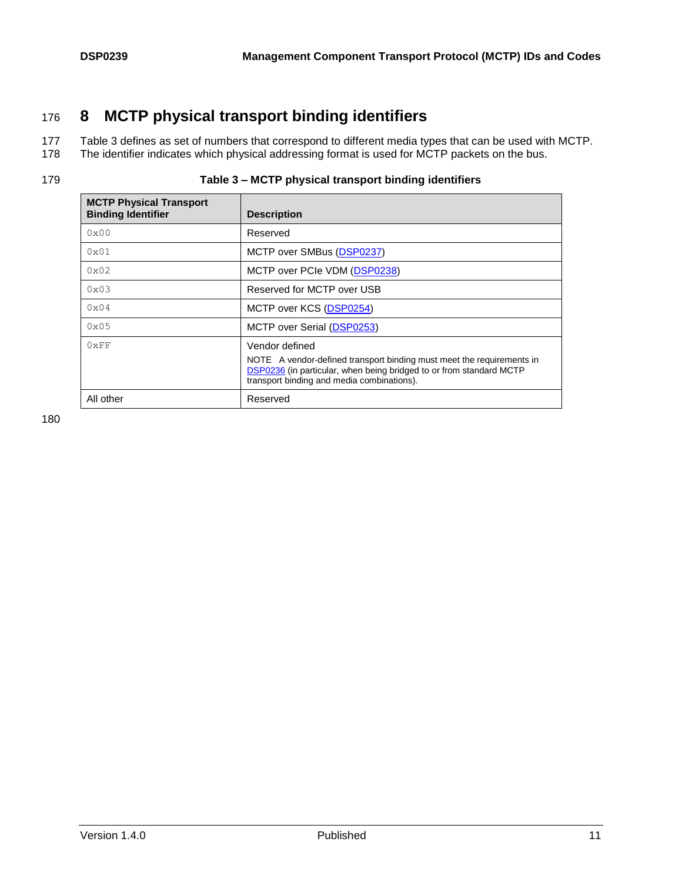# <span id="page-10-0"></span>176 **8 MCTP physical transport binding identifiers**

177 [Table 3](#page-10-1) defines as set of numbers that correspond to different media types that can be used with MCTP.<br>178 The identifier indicates which physical addressing format is used for MCTP packets on the bus. The identifier indicates which physical addressing format is used for MCTP packets on the bus.

### 179 **Table 3 – MCTP physical transport binding identifiers**

<span id="page-10-1"></span>

| <b>MCTP Physical Transport</b><br><b>Binding Identifier</b> | <b>Description</b>                                                                                                                                                                                           |
|-------------------------------------------------------------|--------------------------------------------------------------------------------------------------------------------------------------------------------------------------------------------------------------|
| 0x00                                                        | Reserved                                                                                                                                                                                                     |
| 0x01                                                        | MCTP over SMBus (DSP0237)                                                                                                                                                                                    |
| 0x02                                                        | MCTP over PCIe VDM (DSP0238)                                                                                                                                                                                 |
| 0x03                                                        | Reserved for MCTP over USB                                                                                                                                                                                   |
| $0 \times 04$                                               | MCTP over KCS (DSP0254)                                                                                                                                                                                      |
| 0x05                                                        | MCTP over Serial (DSP0253)                                                                                                                                                                                   |
| $0 \times FF$                                               | Vendor defined<br>NOTE A vendor-defined transport binding must meet the requirements in<br>DSP0236 (in particular, when being bridged to or from standard MCTP<br>transport binding and media combinations). |
| All other                                                   | Reserved                                                                                                                                                                                                     |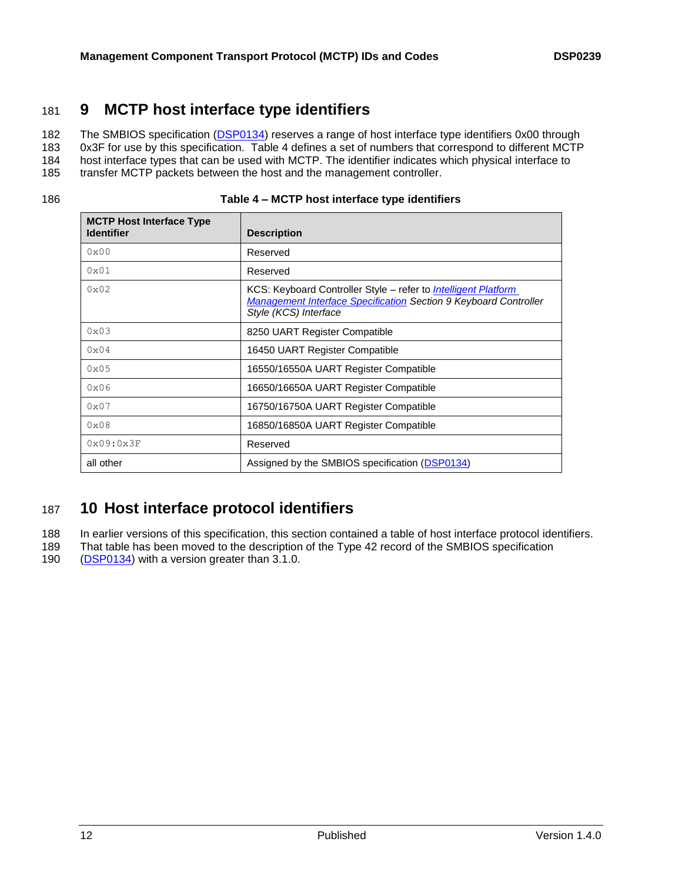## <span id="page-11-0"></span>181 **9 MCTP host interface type identifiers**

182 The SMBIOS specification [\(DSP0134\)](#page-6-8) reserves a range of host interface type identifiers 0x00 through

183 0x3F for use by this specification. [Table 4](#page-11-2) defines a set of numbers that correspond to different MCTP

184 host interface types that can be used with MCTP. The identifier indicates which physical interface to

185 transfer MCTP packets between the host and the management controller.

#### 186 **Table 4 – MCTP host interface type identifiers**

<span id="page-11-2"></span>

| <b>MCTP Host Interface Type</b><br><b>Identifier</b> | <b>Description</b>                                                                                                                                                        |
|------------------------------------------------------|---------------------------------------------------------------------------------------------------------------------------------------------------------------------------|
| 0x00                                                 | Reserved                                                                                                                                                                  |
| 0x01                                                 | Reserved                                                                                                                                                                  |
| 0x02                                                 | KCS: Keyboard Controller Style - refer to <b>Intelligent Platform</b><br><b>Management Interface Specification Section 9 Keyboard Controller</b><br>Style (KCS) Interface |
| $0 \times 0.3$                                       | 8250 UART Register Compatible                                                                                                                                             |
| $0 \times 04$                                        | 16450 UART Register Compatible                                                                                                                                            |
| 0x05                                                 | 16550/16550A UART Register Compatible                                                                                                                                     |
| 0x06                                                 | 16650/16650A UART Register Compatible                                                                                                                                     |
| 0x07                                                 | 16750/16750A UART Register Compatible                                                                                                                                     |
| 0x08                                                 | 16850/16850A UART Register Compatible                                                                                                                                     |
| 0x09:0x3F                                            | Reserved                                                                                                                                                                  |
| all other                                            | Assigned by the SMBIOS specification (DSP0134)                                                                                                                            |

## <span id="page-11-1"></span>187 **10 Host interface protocol identifiers**

188 In earlier versions of this specification, this section contained a table of host interface protocol identifiers.

189 That table has been moved to the description of the Type 42 record of the SMBIOS specification 190 [\(DSP0134\)](#page-6-8) with a version greater than 3.1.0.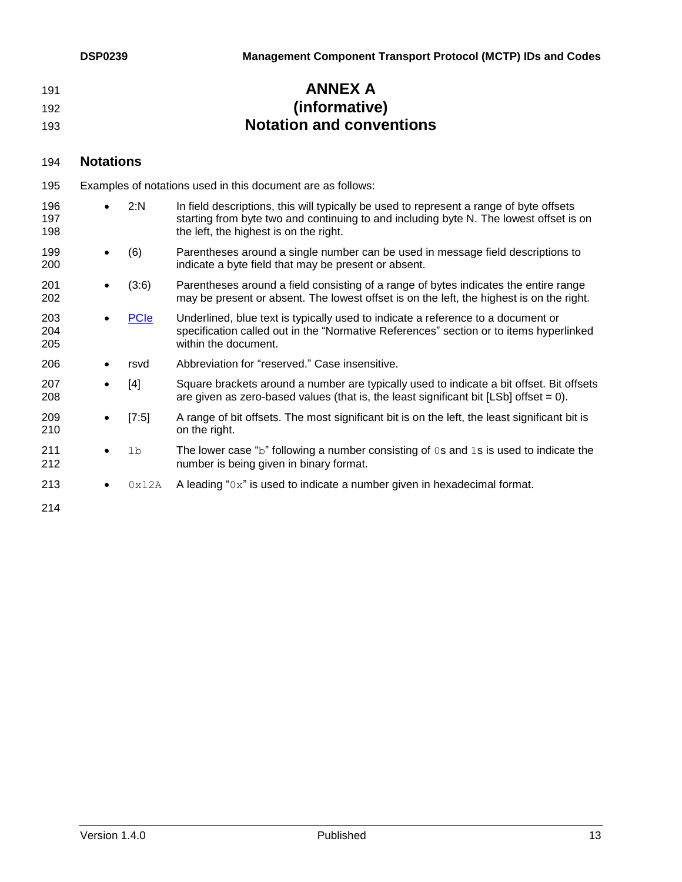<span id="page-12-0"></span>

| 191<br>192<br>193 |                  |                | <b>ANNEX A</b><br>(informative)<br><b>Notation and conventions</b>                                                                                                                                                          |
|-------------------|------------------|----------------|-----------------------------------------------------------------------------------------------------------------------------------------------------------------------------------------------------------------------------|
| 194               | <b>Notations</b> |                |                                                                                                                                                                                                                             |
| 195               |                  |                | Examples of notations used in this document are as follows:                                                                                                                                                                 |
| 196<br>197<br>198 | $\bullet$        | 2:N            | In field descriptions, this will typically be used to represent a range of byte offsets<br>starting from byte two and continuing to and including byte N. The lowest offset is on<br>the left, the highest is on the right. |
| 199<br>200        |                  | (6)            | Parentheses around a single number can be used in message field descriptions to<br>indicate a byte field that may be present or absent.                                                                                     |
| 201<br>202        |                  | (3:6)          | Parentheses around a field consisting of a range of bytes indicates the entire range<br>may be present or absent. The lowest offset is on the left, the highest is on the right.                                            |
| 203<br>204<br>205 |                  | <b>PCle</b>    | Underlined, blue text is typically used to indicate a reference to a document or<br>specification called out in the "Normative References" section or to items hyperlinked<br>within the document.                          |
| 206               |                  | rsvd           | Abbreviation for "reserved." Case insensitive.                                                                                                                                                                              |
| 207<br>208        | $\bullet$        | [4]            | Square brackets around a number are typically used to indicate a bit offset. Bit offsets<br>are given as zero-based values (that is, the least significant bit $[LSb]$ offset = 0).                                         |
| 209<br>210        | ٠                | [7:5]          | A range of bit offsets. The most significant bit is on the left, the least significant bit is<br>on the right.                                                                                                              |
| 211<br>212        |                  | 1 <sub>b</sub> | The lower case "b" following a number consisting of $0s$ and 1s is used to indicate the<br>number is being given in binary format.                                                                                          |
| 213               | $\bullet$        | 0x12A          | A leading " $0x$ " is used to indicate a number given in hexadecimal format.                                                                                                                                                |
| 214               |                  |                |                                                                                                                                                                                                                             |